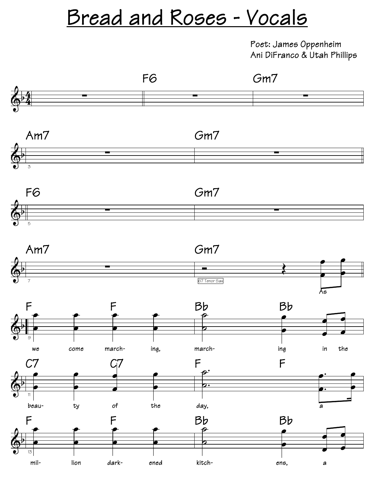### **Bread and Roses - Vocals**

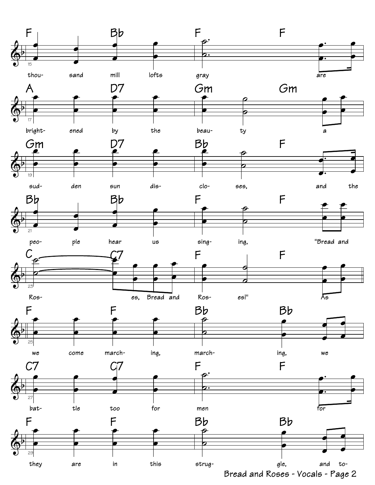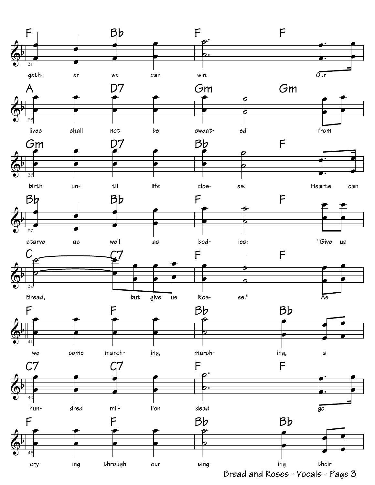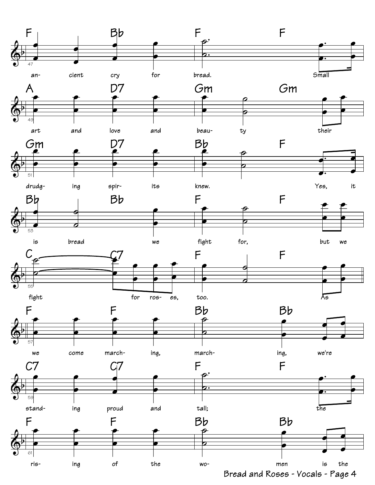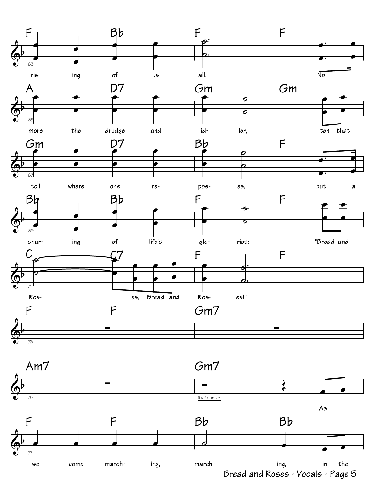

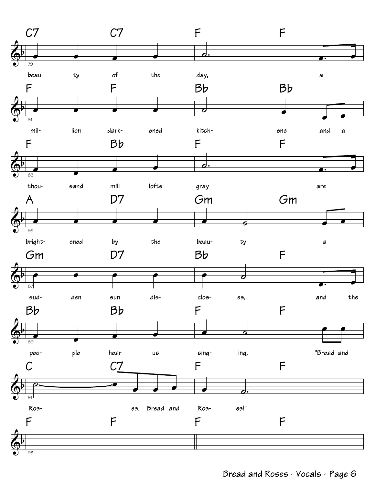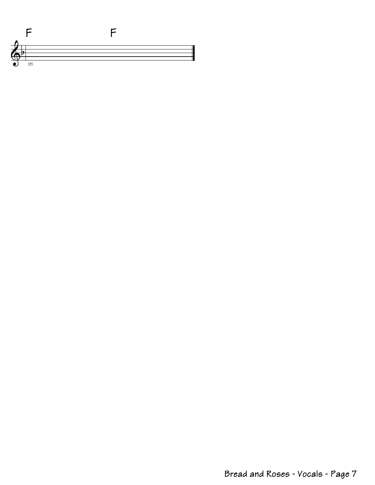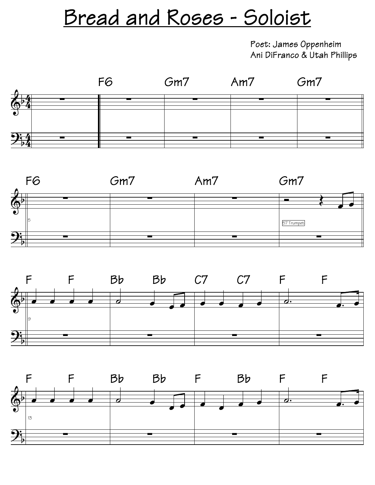### **Bread and Roses - Soloist**







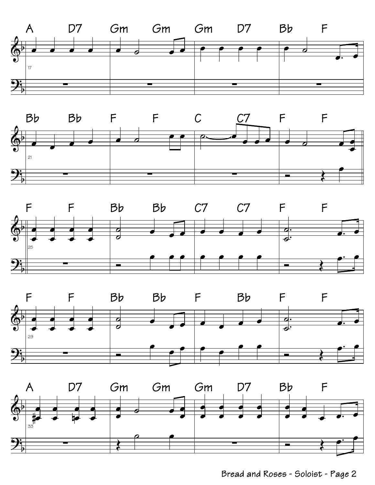









**Bread and Roses - Soloist - Page 2**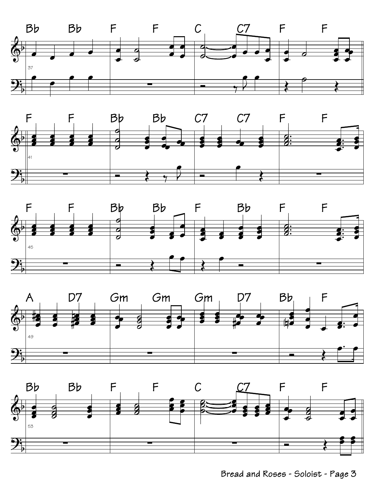









**Bread and Roses - Soloist - Page 3**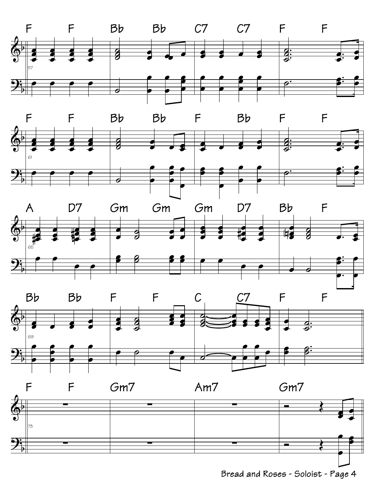









**Bread and Roses - Soloist - Page 4**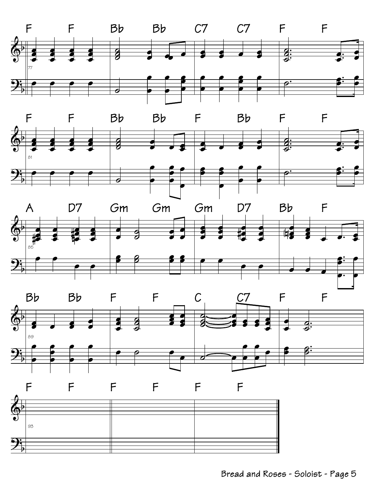







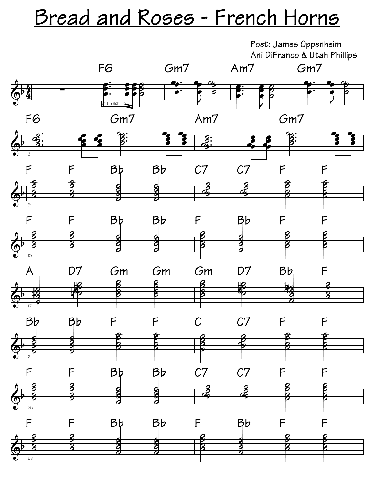# **Bread and Roses - French Horns**

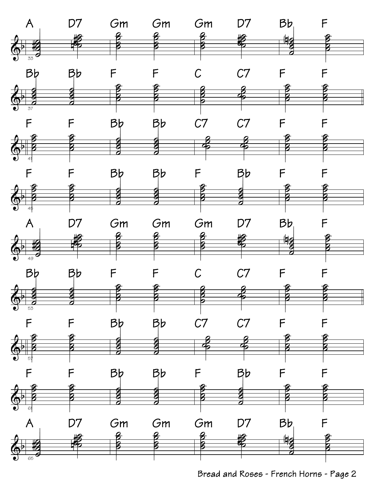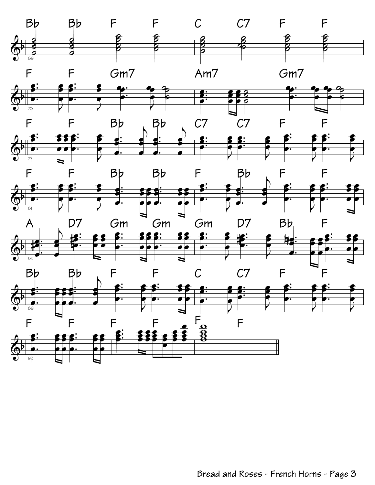









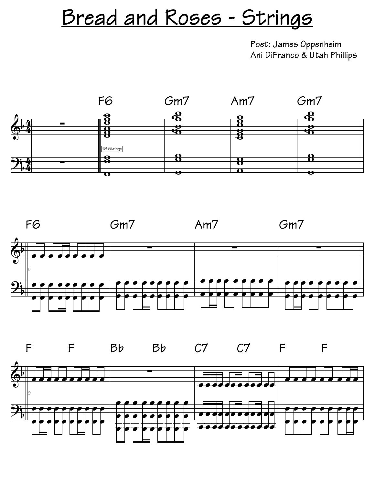### **Bread and Roses - Strings**





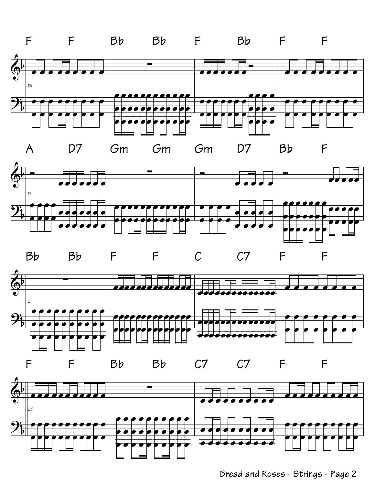









**Bread and Roses - Strings - Page 2**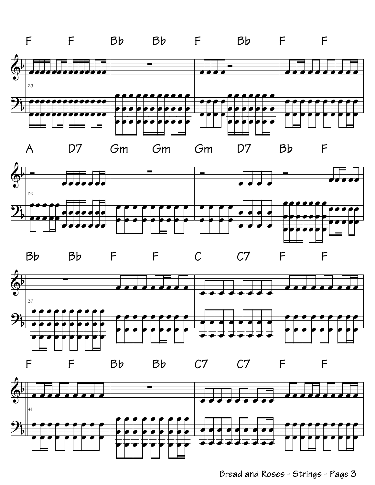







**Bread and Roses - Strings - Page 3**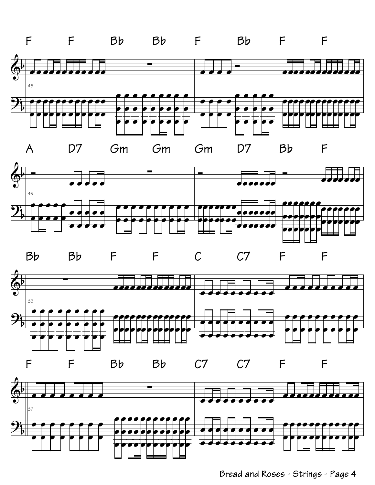









**Bread and Roses - Strings - Page 4**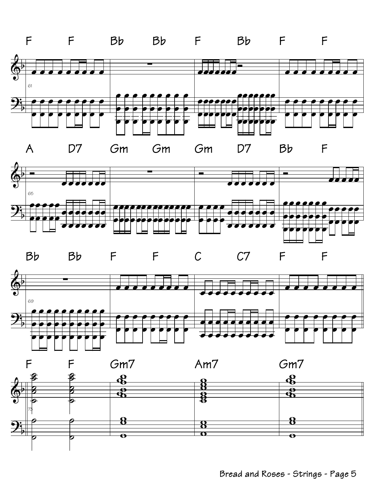





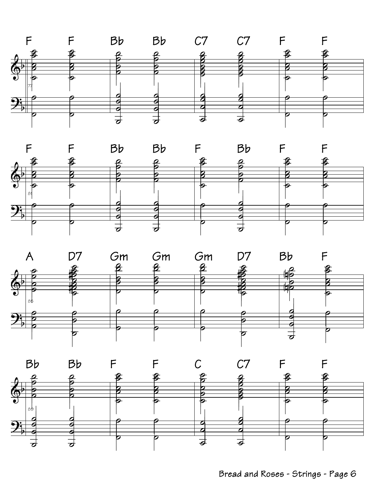





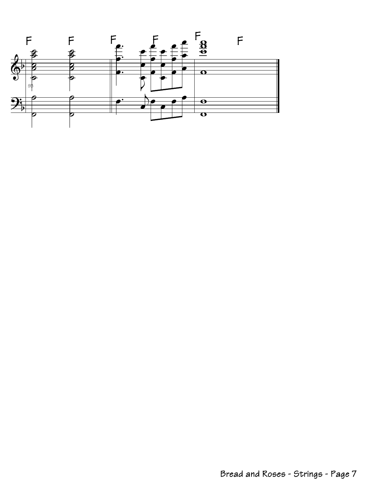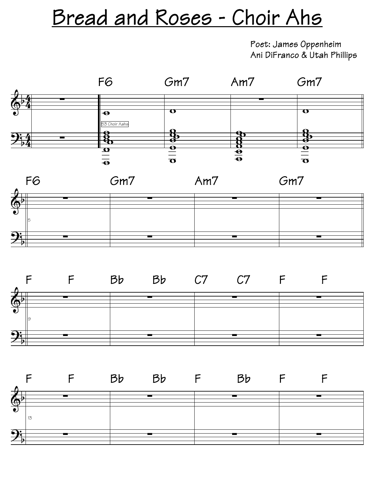# **Bread and Roses - Choir Ahs**







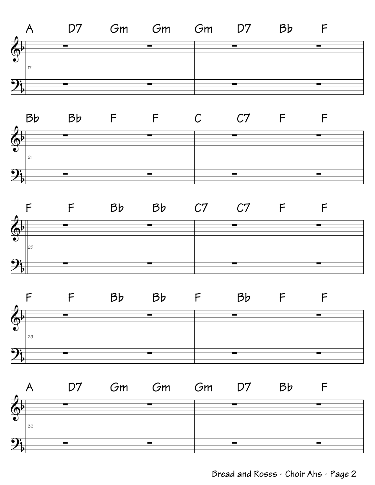



### **ASS**  $\frac{1}{2}$  $\overline{\mathbf{25}}$ 25 **F F Bb Bb C7 C7 F F**

|                | Bh | Зh |  |  |  |
|----------------|----|----|--|--|--|
| $\bm{\varphi}$ |    |    |  |  |  |
| ∙<br>29        |    |    |  |  |  |
| A:             |    |    |  |  |  |

|           |    | D7 | Gm Gm | Gm | D7 | Bb |  |
|-----------|----|----|-------|----|----|----|--|
|           |    |    |       |    |    |    |  |
| ⊕         |    |    |       |    |    |    |  |
|           |    |    |       |    |    |    |  |
| $\bullet$ | 33 |    |       |    |    |    |  |
|           |    |    |       |    |    |    |  |
|           |    |    |       |    |    |    |  |
|           |    |    |       |    |    |    |  |
|           |    |    |       |    |    |    |  |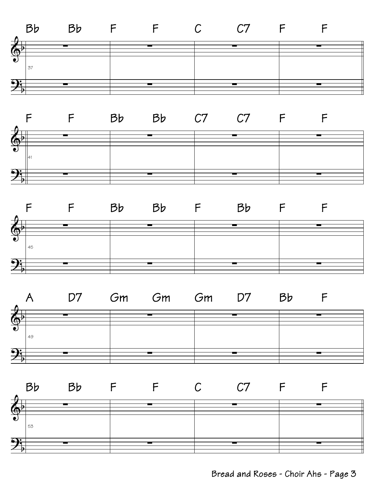



|                           | Bb | Bb | Bb |  |  |
|---------------------------|----|----|----|--|--|
| $\bigoplus^{\mathfrak k}$ |    |    |    |  |  |
| €<br>45                   |    |    |    |  |  |
| ∩∙                        |    |    |    |  |  |

|                                      |    | D7 | Gm Gm | Gm | D7 | Bb |  |
|--------------------------------------|----|----|-------|----|----|----|--|
|                                      |    |    |       |    |    |    |  |
|                                      |    |    |       |    |    |    |  |
| $\overline{\mathbb{Q}}_{\mathsf{p}}$ |    |    |       |    |    |    |  |
| $\bullet$                            | 49 |    |       |    |    |    |  |
| $\overline{\mathbf{Q}}$              |    |    |       |    |    |    |  |
|                                      |    |    |       |    |    |    |  |
|                                      |    |    |       |    |    |    |  |
|                                      |    |    |       |    |    |    |  |

|            | Bb | Bb | ► |  |  |  |
|------------|----|----|---|--|--|--|
| ⊣<br>⇁     |    |    |   |  |  |  |
| 倚          |    |    |   |  |  |  |
|            |    |    |   |  |  |  |
| ∙          | 53 |    |   |  |  |  |
| $\Omega$ : |    |    |   |  |  |  |
|            |    |    |   |  |  |  |
|            |    |    |   |  |  |  |
|            |    |    |   |  |  |  |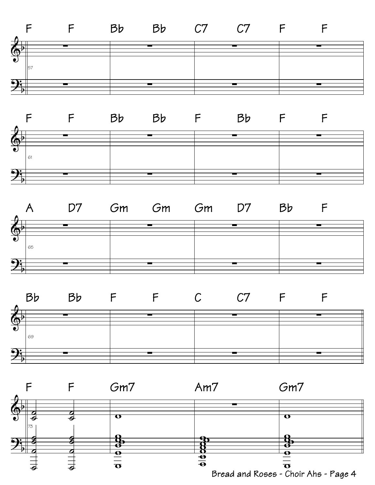



### **Age**  $\frac{1}{2}$  $\overline{\mathbf{25}}$ 65 **A D7 Gm Gm Gm D7 Bb F**

#### **Ago** b<br>2  $\overline{\mathcal{F}}$ 69 **Bb Bb F F C C7 F F**

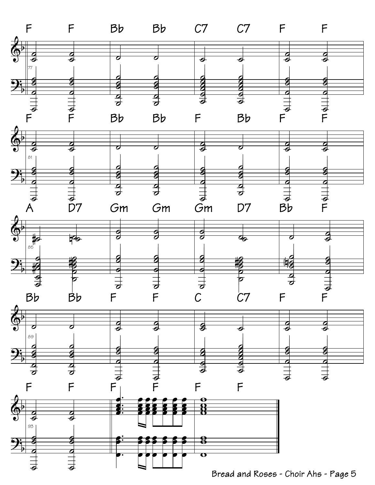

Bread and Roses - Choir Ahs - Page 5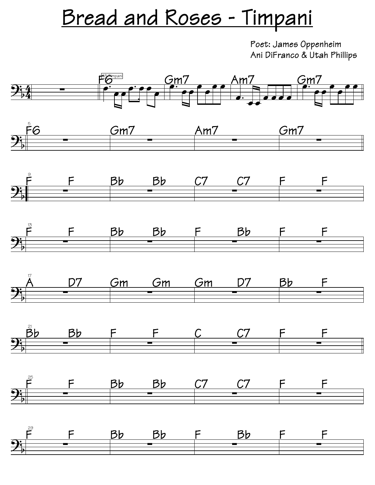# **Bread and Roses - Timpani**

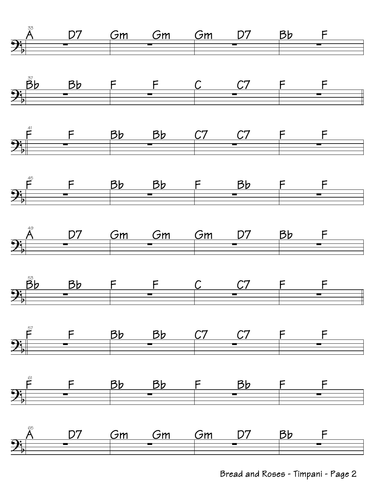















|          | . |  |  |  |
|----------|---|--|--|--|
| $\sim$ 1 |   |  |  |  |
|          |   |  |  |  |
|          |   |  |  |  |
|          |   |  |  |  |
|          |   |  |  |  |
|          |   |  |  |  |

**Bread and Roses - Timpani - Page 2**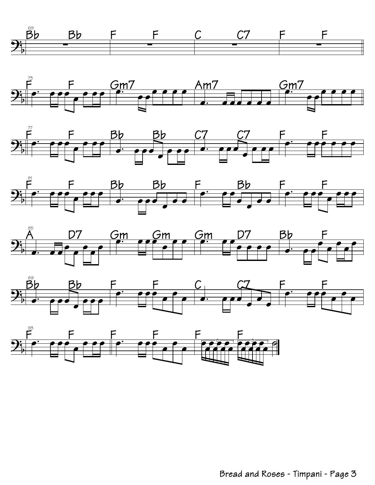











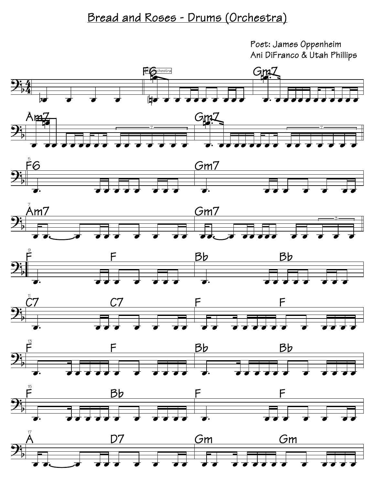#### **Bread and Roses - Drums (Orchestra)**















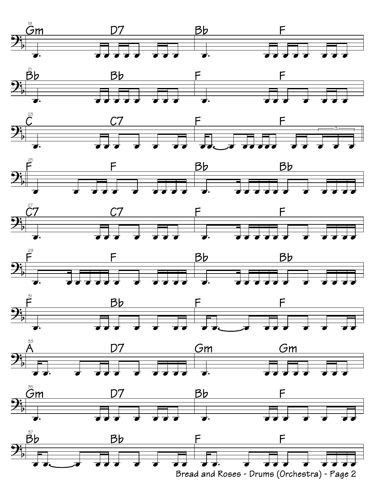

















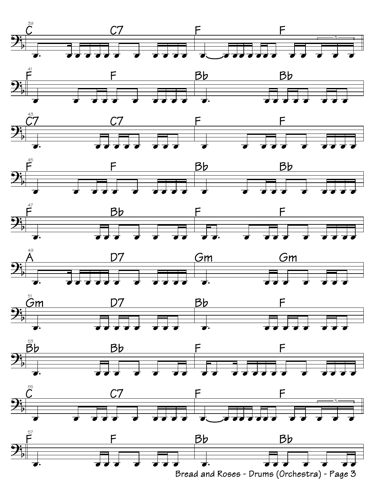

















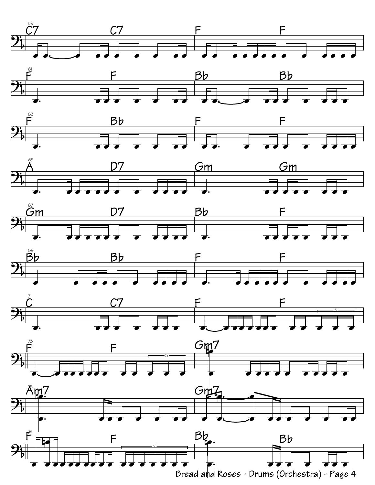

















**Bread and Roses - Drums (Orchestra) - Page 4**